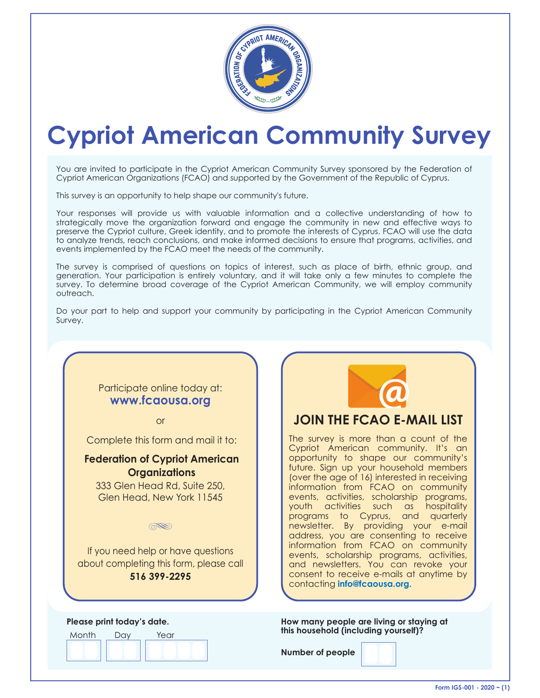

# **Cypriot American Community Survey**

You are invited to participate in the Cypriot American Community Survey sponsored by the Federation of Cypriot American Organizations (FCAO) and supported by the Government of the Republic of Cyprus.

This survey is an opportunity to help shape our community's future.

Your responses will provide us with valuable information and a collective understanding of how to strategically move the organization forward and engage the community in new and effective ways to preserve the Cypriot culture, Greek identity, and to promote the interests of Cyprus. FCAO will use the data to analyze trends, reach conclusions, and make informed decisions to ensure that programs, activities, and events implemented by the FCAO meet the needs of the community.

The survey is comprised of questions on topics of interest, such as place of birth, ethnic group, and generation. Your participation is entirely voluntary, and it will take only a few minutes to complete the survey. To determine broad coverage of the Cypriot American Community, we will employ community outreach.

Do your part to help and support your community by participating in the Cypriot American Community Survey.

### Participate online today at: **www.fcaousa.org**

or

Complete this form and mail it to:

#### **Federation of Cypriot American Organizations**

333 Glen Head Rd, Suite 250, Glen Head, New York 11545

 $\circledR$ 

If you need help or have questions about completing this form, please call **516 399-2295**

Month Day Year **Please print today's date.**



**How many people are living or staying at this household (including yourself)?**

**Number of people**

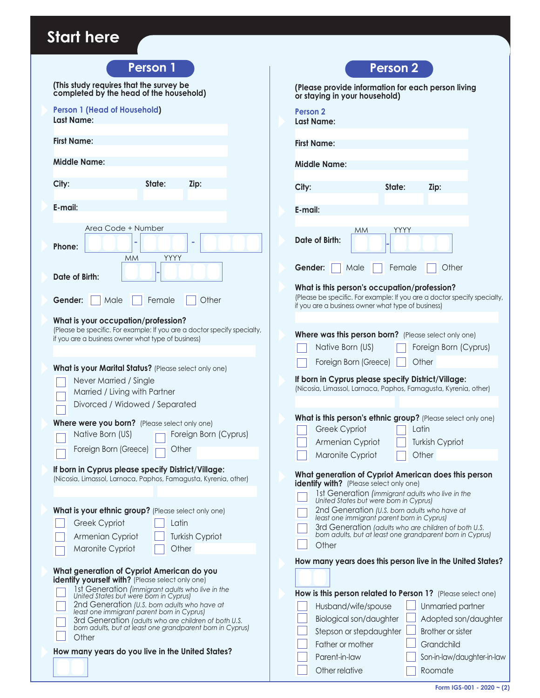# **Start here**

| <b>Person 1</b>                                                                                                                                                                                                                                                                                                                                                                                                          | <b>Person 2</b>                                                                                                                                                                                                          |
|--------------------------------------------------------------------------------------------------------------------------------------------------------------------------------------------------------------------------------------------------------------------------------------------------------------------------------------------------------------------------------------------------------------------------|--------------------------------------------------------------------------------------------------------------------------------------------------------------------------------------------------------------------------|
| (This study requires that the survey be<br>completed by the head of the household)                                                                                                                                                                                                                                                                                                                                       | (Please provide information for each person living<br>or staying in your household)                                                                                                                                      |
| <b>Person 1 (Head of Household)</b><br><b>Last Name:</b>                                                                                                                                                                                                                                                                                                                                                                 | Person 2<br><b>Last Name:</b>                                                                                                                                                                                            |
| <b>First Name:</b>                                                                                                                                                                                                                                                                                                                                                                                                       | <b>First Name:</b>                                                                                                                                                                                                       |
| <b>Middle Name:</b>                                                                                                                                                                                                                                                                                                                                                                                                      | Middle Name:                                                                                                                                                                                                             |
| State:                                                                                                                                                                                                                                                                                                                                                                                                                   |                                                                                                                                                                                                                          |
| City:<br>Zip:                                                                                                                                                                                                                                                                                                                                                                                                            | City:<br>State:<br>Zip:                                                                                                                                                                                                  |
| E-mail:                                                                                                                                                                                                                                                                                                                                                                                                                  | E-mail:                                                                                                                                                                                                                  |
| Area Code + Number<br>Phone:<br>YYYY<br><b>MM</b>                                                                                                                                                                                                                                                                                                                                                                        | YYYY<br><b>MM</b><br>Date of Birth:                                                                                                                                                                                      |
| Date of Birth:                                                                                                                                                                                                                                                                                                                                                                                                           | Other<br>Gender:<br>Male<br>Female<br>What is this person's occupation/profession?                                                                                                                                       |
| Gender:<br>Other<br>Male<br>Female                                                                                                                                                                                                                                                                                                                                                                                       | (Please be specific. For example: If you are a doctor specify specialty,<br>if you are a business owner what type of business)                                                                                           |
| What is your occupation/profession?<br>(Please be specific. For example: If you are a doctor specify specialty,<br>if you are a business owner what type of business)                                                                                                                                                                                                                                                    | Where was this person born? (Please select only one)<br>Native Born (US)<br>Foreign Born (Cyprus)                                                                                                                        |
| What is your Marital Status? (Please select only one)                                                                                                                                                                                                                                                                                                                                                                    | Foreign Born (Greece)<br>Other                                                                                                                                                                                           |
| Never Married / Single<br>Married / Living with Partner<br>Divorced / Widowed / Separated                                                                                                                                                                                                                                                                                                                                | If born in Cyprus please specify District/Village:<br>(Nicosia, Limassol, Larnaca, Paphos, Famagusta, Kyrenia, other)                                                                                                    |
| Where were you born? (Please select only one)                                                                                                                                                                                                                                                                                                                                                                            | What is this person's ethnic group? (Please select only one)<br>Greek Cypriot<br>Latin                                                                                                                                   |
| Native Born (US)<br>Foreign Born (Cyprus)                                                                                                                                                                                                                                                                                                                                                                                | Armenian Cypriot<br><b>Turkish Cypriot</b>                                                                                                                                                                               |
| Foreign Born (Greece)<br>Other                                                                                                                                                                                                                                                                                                                                                                                           | Maronite Cypriot<br>Other                                                                                                                                                                                                |
| If born in Cyprus please specify District/Village:<br>(Nicosia, Limassol, Larnaca, Paphos, Famagusta, Kyrenia, other)                                                                                                                                                                                                                                                                                                    | What generation of Cypriot American does this person<br><b>identify with?</b> (Please select only one)<br>1st Generation (immigrant adults who live in the                                                               |
| What is your ethnic group? (Please select only one)                                                                                                                                                                                                                                                                                                                                                                      | United States but were born in Cyprus)                                                                                                                                                                                   |
| Greek Cypriot<br>Latin<br>Armenian Cypriot<br><b>Turkish Cypriot</b>                                                                                                                                                                                                                                                                                                                                                     | 2nd Generation (U.S. born adults who have at<br>least one immigrant parent born in Cyprus)<br>3rd Generation (adults who are children of both U.S.<br>born adults, but at least one grandparent born in Cyprus)<br>Other |
| Maronite Cypriot<br>Other                                                                                                                                                                                                                                                                                                                                                                                                | How many years does this person live in the United States?                                                                                                                                                               |
| What generation of Cypriot American do you<br>identify yourself with? (Please select only one)<br>1st Generation (immigrant adults who live in the<br>United States but were born in Cyprus)<br>2nd Generation (U.S. born adults who have at<br>least one immigrant parent born in Cyprus)<br>3rd Generation (adults who are children of both U.S.<br>born adults, but at least one grandparent born in Cyprus)<br>Other | How is this person related to Person 1? (Please select one)<br>Husband/wife/spouse<br>Unmarried partner<br>Biological son/daughter<br>Adopted son/daughter<br>Stepson or stepdaughter<br>Brother or sister               |
| How many years do you live in the United States?                                                                                                                                                                                                                                                                                                                                                                         | Father or mother<br>Grandchild<br>Parent-in-law<br>Son-in-law/daughter-in-law<br>Other relative<br>Roomate                                                                                                               |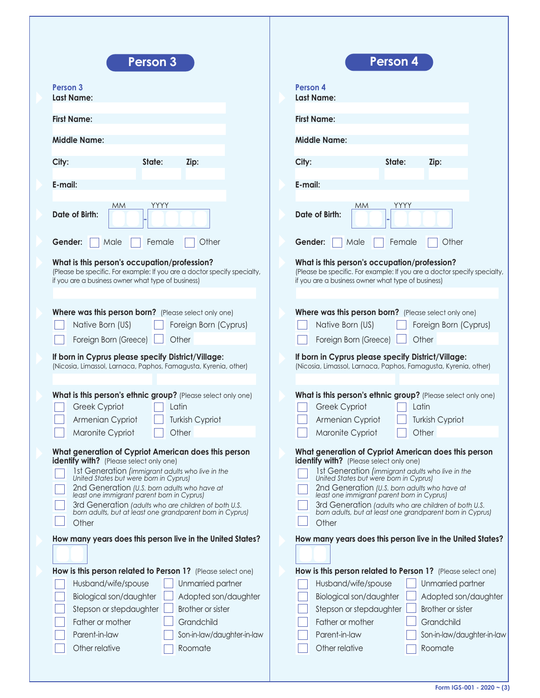| <b>Person 3</b>                                                          | <b>Person 4</b>                                                          |
|--------------------------------------------------------------------------|--------------------------------------------------------------------------|
| Person <sub>3</sub>                                                      | Person 4                                                                 |
| <b>Last Name:</b>                                                        | <b>Last Name:</b>                                                        |
| <b>First Name:</b>                                                       | <b>First Name:</b>                                                       |
| <b>Middle Name:</b>                                                      | <b>Middle Name:</b>                                                      |
| City:                                                                    | State:                                                                   |
| State:                                                                   | City:                                                                    |
| Zip:                                                                     | Zip:                                                                     |
| E-mail:                                                                  | E-mail:                                                                  |
| <b>YYYY</b>                                                              | YYYY                                                                     |
| <b>MM</b>                                                                | МM                                                                       |
| Date of Birth:                                                           | Date of Birth:                                                           |
| Gender:                                                                  | Gender:                                                                  |
| Female                                                                   | Female                                                                   |
| Other                                                                    | Other                                                                    |
| Male                                                                     | Male                                                                     |
| What is this person's occupation/profession?                             | What is this person's occupation/profession?                             |
| (Please be specific. For example: If you are a doctor specify specialty, | (Please be specific. For example: If you are a doctor specify specialty, |
| if you are a business owner what type of business)                       | if you are a business owner what type of business)                       |
| Where was this person born? (Please select only one)                     | Where was this person born? (Please select only one)                     |
| Native Born (US)                                                         | Native Born (US)                                                         |
| Foreign Born (Cyprus)                                                    | Foreign Born (Cyprus)                                                    |
| Foreign Born (Greece)                                                    | Foreign Born (Greece)                                                    |
| Other                                                                    | Other                                                                    |
| If born in Cyprus please specify District/Village:                       | If born in Cyprus please specify District/Village:                       |
| (Nicosia, Limassol, Larnaca, Paphos, Famagusta, Kyrenia, other)          | (Nicosia, Limassol, Larnaca, Paphos, Famagusta, Kyrenia, other)          |
| What is this person's ethnic group? (Please select only one)             | What is this person's ethnic group? (Please select only one)             |
| Greek Cypriot                                                            | Greek Cypriot                                                            |
| Latin                                                                    | Latin                                                                    |
| Armenian Cypriot                                                         | Armenian Cypriot                                                         |
| Turkish Cypriot                                                          | Turkish Cypriot                                                          |
| Maronite Cypriot                                                         | Maronite Cypriot                                                         |
| Other                                                                    | Other                                                                    |
| What generation of Cypriot American does this person                     | What generation of Cypriot American does this person                     |
| identify with? (Please select only one)                                  | identify with? (Please select only one)                                  |
| 1st Generation (immigrant adults who live in the                         | 1st Generation (immigrant adults who live in the                         |
| United States but were born in Cyprus)                                   | United States but were born in Cyprus)                                   |
| 2nd Generation (U.S. born adults who have at                             | 2nd Generation (U.S. born adults who have at                             |
| least one immigrant parent born in Cyprus)                               | least one immigrant parent born in Cyprus)                               |
| 3rd Generation (adults who are children of both U.S.                     | 3rd Generation (adults who are children of both U.S.                     |
| born adults, but at least one grandparent born in Cyprus)                | born adults, but at least one grandparent born in Cyprus)                |
| Other                                                                    | Other                                                                    |
| How many years does this person live in the United States?               | How many years does this person live in the United States?               |
| How is this person related to Person 1? (Please select one)              | How is this person related to Person 1? (Please select one)              |
| Unmarried partner                                                        | Unmarried partner                                                        |
| Husband/wife/spouse                                                      | Husband/wife/spouse                                                      |
| Biological son/daughter                                                  | Biological son/daughter                                                  |
| Adopted son/daughter                                                     | Adopted son/daughter                                                     |
| Stepson or stepdaughter                                                  | Brother or sister                                                        |
| <b>Brother or sister</b>                                                 | Stepson or stepdaughter                                                  |
| Father or mother                                                         | Grandchild                                                               |
| Grandchild                                                               | Father or mother                                                         |
| Parent-in-law                                                            | Parent-in-law                                                            |
| Son-in-law/daughter-in-law                                               | Son-in-law/daughter-in-law                                               |
| Other relative                                                           | Other relative                                                           |
| Roomate                                                                  | Roomate                                                                  |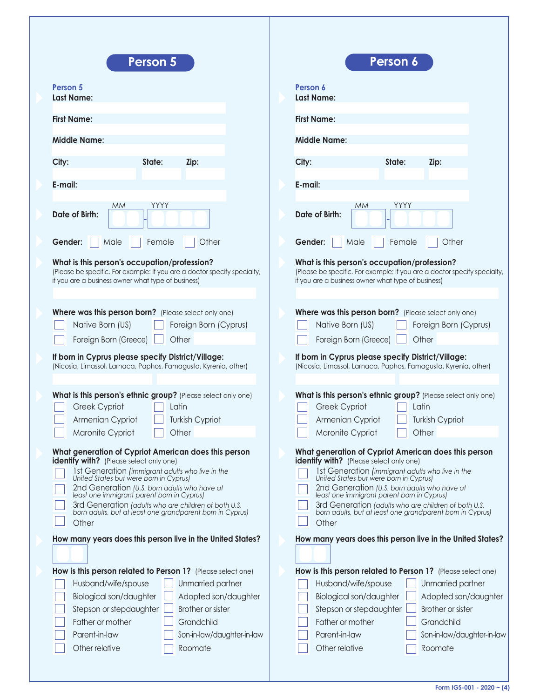| <b>Person 5</b>                                                                                                                                                                                                                                                                                                                                                                                                                  | Person 6                                                                                                                                                                                                                                                                                                                                                                                                                         |
|----------------------------------------------------------------------------------------------------------------------------------------------------------------------------------------------------------------------------------------------------------------------------------------------------------------------------------------------------------------------------------------------------------------------------------|----------------------------------------------------------------------------------------------------------------------------------------------------------------------------------------------------------------------------------------------------------------------------------------------------------------------------------------------------------------------------------------------------------------------------------|
| Person 5<br><b>Last Name:</b>                                                                                                                                                                                                                                                                                                                                                                                                    | Person 6<br><b>Last Name:</b>                                                                                                                                                                                                                                                                                                                                                                                                    |
| <b>First Name:</b>                                                                                                                                                                                                                                                                                                                                                                                                               | <b>First Name:</b>                                                                                                                                                                                                                                                                                                                                                                                                               |
| <b>Middle Name:</b>                                                                                                                                                                                                                                                                                                                                                                                                              | <b>Middle Name:</b>                                                                                                                                                                                                                                                                                                                                                                                                              |
| City:<br>State:<br>Zip:                                                                                                                                                                                                                                                                                                                                                                                                          | City:<br>State:<br>Zip:                                                                                                                                                                                                                                                                                                                                                                                                          |
| E-mail:                                                                                                                                                                                                                                                                                                                                                                                                                          | E-mail:                                                                                                                                                                                                                                                                                                                                                                                                                          |
| YYYY<br><b>MM</b><br>Date of Birth:                                                                                                                                                                                                                                                                                                                                                                                              | YYYY<br><b>MM</b><br>Date of Birth:                                                                                                                                                                                                                                                                                                                                                                                              |
| Gender:<br>Female<br>Other<br>Male                                                                                                                                                                                                                                                                                                                                                                                               | Gender:<br>Female<br>Other<br>Male                                                                                                                                                                                                                                                                                                                                                                                               |
| What is this person's occupation/profession?<br>(Please be specific. For example: If you are a doctor specify specialty,<br>if you are a business owner what type of business)                                                                                                                                                                                                                                                   | What is this person's occupation/profession?<br>(Please be specific. For example: If you are a doctor specify specialty,<br>if you are a business owner what type of business)                                                                                                                                                                                                                                                   |
| Where was this person born? (Please select only one)<br>Native Born (US)<br>Foreign Born (Cyprus)<br>Foreign Born (Greece)<br>Other<br>If born in Cyprus please specify District/Village:<br>(Nicosia, Limassol, Larnaca, Paphos, Famagusta, Kyrenia, other)                                                                                                                                                                     | Where was this person born? (Please select only one)<br>Native Born (US)<br>Foreign Born (Cyprus)<br>Other<br>Foreign Born (Greece)<br>If born in Cyprus please specify District/Village:<br>(Nicosia, Limassol, Larnaca, Paphos, Famagusta, Kyrenia, other)                                                                                                                                                                     |
| What is this person's ethnic group? (Please select only one)                                                                                                                                                                                                                                                                                                                                                                     | What is this person's ethnic group? (Please select only one)                                                                                                                                                                                                                                                                                                                                                                     |
| Greek Cypriot<br>Latin                                                                                                                                                                                                                                                                                                                                                                                                           | Greek Cypriot<br>Latin                                                                                                                                                                                                                                                                                                                                                                                                           |
| Armenian Cypriot<br><b>Turkish Cypriot</b>                                                                                                                                                                                                                                                                                                                                                                                       | Armenian Cypriot<br><b>Turkish Cypriot</b>                                                                                                                                                                                                                                                                                                                                                                                       |
| Maronite Cypriot<br>Other                                                                                                                                                                                                                                                                                                                                                                                                        | Maronite Cypriot<br>Other                                                                                                                                                                                                                                                                                                                                                                                                        |
| What generation of Cypriot American does this person<br><b>identify with?</b> (Please select only one)<br>1st Generation (immigrant adults who live in the<br>United States but were born in Cyprus)<br>2nd Generation (U.S. born adults who have at<br>least one immigrant parent born in Cyprus)<br>3rd Generation (adults who are children of both U.S.<br>born adults, but at least one grandparent born in Cyprus)<br>Other | What generation of Cypriot American does this person<br><b>identify with?</b> (Please select only one)<br>1st Generation (immigrant adults who live in the<br>United States but were born in Cyprus)<br>2nd Generation (U.S. born adults who have at<br>least one immigrant parent born in Cyprus)<br>3rd Generation (adults who are children of both U.S.<br>born adults, but at least one grandparent born in Cyprus)<br>Other |
| How many years does this person live in the United States?                                                                                                                                                                                                                                                                                                                                                                       | How many years does this person live in the United States?                                                                                                                                                                                                                                                                                                                                                                       |
|                                                                                                                                                                                                                                                                                                                                                                                                                                  |                                                                                                                                                                                                                                                                                                                                                                                                                                  |
| How is this person related to Person 1? (Please select one)<br>Unmarried partner<br>Husband/wife/spouse<br>Biological son/daughter<br>Adopted son/daughter<br>Stepson or stepdaughter<br><b>Brother or sister</b><br>Father or mother<br>Grandchild<br>Parent-in-law<br>Son-in-law/daughter-in-law<br>Other relative<br>Roomate                                                                                                  | How is this person related to Person 1? (Please select one)<br>Unmarried partner<br>Husband/wife/spouse<br>Biological son/daughter<br>Adopted son/daughter<br><b>Brother or sister</b><br>Stepson or stepdaughter<br>Grandchild<br>Father or mother<br>Parent-in-law<br>Son-in-law/daughter-in-law<br>Other relative<br>Roomate                                                                                                  |